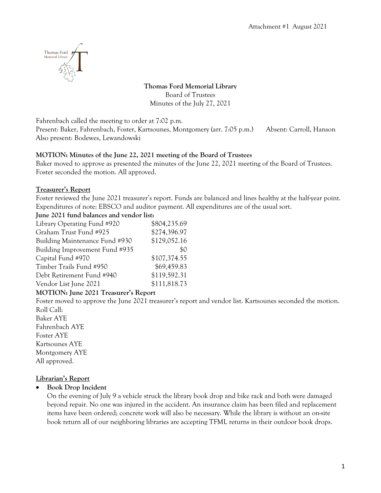

**Thomas Ford Memorial Library** Board of Trustees Minutes of the July 27, 2021

Fahrenbach called the meeting to order at 7:02 p.m.

Present: Baker, Fahrenbach, Foster, Kartsounes, Montgomery (arr. 7:05 p.m.) Absent: Carroll, Hanson Also present: Bodewes, Lewandowski

## **MOTION: Minutes of the June 22, 2021 meeting of the Board of Trustees**

Baker moved to approve as presented the minutes of the June 22, 2021 meeting of the Board of Trustees. Foster seconded the motion. All approved.

## **Treasurer's Report**

Foster reviewed the June 2021 treasurer's report. Funds are balanced and lines healthy at the half-year point. Expenditures of note: EBSCO and auditor payment. All expenditures are of the usual sort.

**June 2021 fund balances and vendor list:**

| Library Operating Fund #920    | \$804,235.69 |
|--------------------------------|--------------|
| Graham Trust Fund #925         | \$274,396.97 |
| Building Maintenance Fund #930 | \$129,052.16 |
| Building Improvement Fund #935 | \$0          |
| Capital Fund #970              | \$107,374.55 |
| Timber Trails Fund #950        | \$69,459.83  |
| Debt Retirement Fund #940      | \$119,592.31 |
| Vendor List June 2021          | \$111,818.73 |

## **MOTION: June 2021 Treasurer's Report**

Foster moved to approve the June 2021 treasurer's report and vendor list. Kartsounes seconded the motion. Roll Call:

Baker AYE Fahrenbach AYE Foster AYE Kartsounes AYE Montgomery AYE All approved.

# **Librarian's Report**

## • **Book Drop Incident**

On the evening of July 9 a vehicle struck the library book drop and bike rack and both were damaged beyond repair. No one was injured in the accident. An insurance claim has been filed and replacement items have been ordered; concrete work will also be necessary. While the library is without an on-site book return all of our neighboring libraries are accepting TFML returns in their outdoor book drops.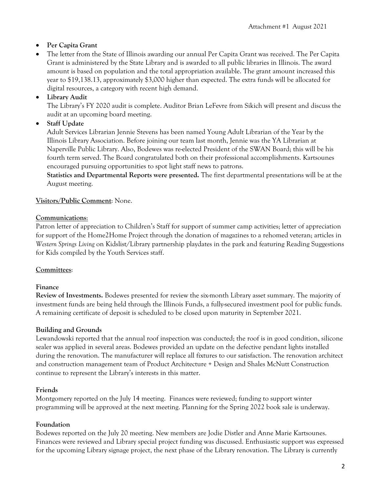# • **Per Capita Grant**

• The letter from the State of Illinois awarding our annual Per Capita Grant was received. The Per Capita Grant is administered by the State Library and is awarded to all public libraries in Illinois. The award amount is based on population and the total appropriation available. The grant amount increased this year to \$19,138.13, approximately \$3,000 higher than expected. The extra funds will be allocated for digital resources, a category with recent high demand.

# • **Library Audit**

The Library's FY 2020 audit is complete. Auditor Brian LeFevre from Sikich will present and discuss the audit at an upcoming board meeting.

# • **Staff Update**

Adult Services Librarian Jennie Stevens has been named Young Adult Librarian of the Year by the Illinois Library Association. Before joining our team last month, Jennie was the YA Librarian at Naperville Public Library. Also, Bodewes was re-elected President of the SWAN Board; this will be his fourth term served. The Board congratulated both on their professional accomplishments. Kartsounes encouraged pursuing opportunities to spot light staff news to patrons.

**Statistics and Departmental Reports were presented.** The first departmental presentations will be at the August meeting.

## **Visitors/Public Comment**: None.

## **Communications**:

Patron letter of appreciation to Children's Staff for support of summer camp activities; letter of appreciation for support of the Home2Home Project through the donation of magazines to a rehomed veteran; articles in *Western Springs Living* on Kidslist/Library partnership playdates in the park and featuring Reading Suggestions for Kids compiled by the Youth Services staff.

## **Committees**:

## **Finance**

**Review of Investments.** Bodewes presented for review the six-month Library asset summary. The majority of investment funds are being held through the Illinois Funds, a fully-secured investment pool for public funds. A remaining certificate of deposit is scheduled to be closed upon maturity in September 2021.

## **Building and Grounds**

Lewandowski reported that the annual roof inspection was conducted; the roof is in good condition, silicone sealer was applied in several areas. Bodewes provided an update on the defective pendant lights installed during the renovation. The manufacturer will replace all fixtures to our satisfaction. The renovation architect and construction management team of Product Architecture + Design and Shales McNutt Construction continue to represent the Library's interests in this matter.

# **Friends**

Montgomery reported on the July 14 meeting. Finances were reviewed; funding to support winter programming will be approved at the next meeting. Planning for the Spring 2022 book sale is underway.

# **Foundation**

Bodewes reported on the July 20 meeting. New members are Jodie Distler and Anne Marie Kartsounes. Finances were reviewed and Library special project funding was discussed. Enthusiastic support was expressed for the upcoming Library signage project, the next phase of the Library renovation. The Library is currently